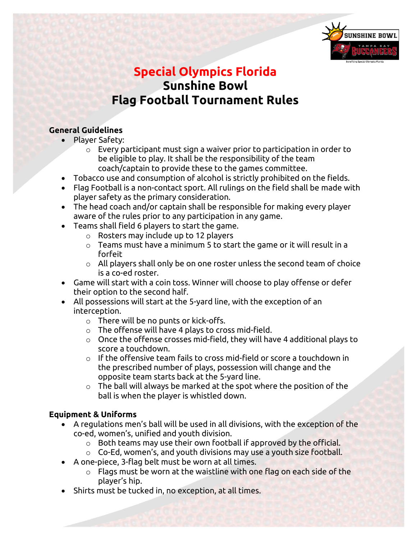

# **Special Olympics Florida Sunshine Bowl Flag Football Tournament Rules**

### **General Guidelines**

- Player Safety:
	- o Every participant must sign a waiver prior to participation in order to be eligible to play. It shall be the responsibility of the team coach/captain to provide these to the games committee.
- Tobacco use and consumption of alcohol is strictly prohibited on the fields.
- Flag Football is a non-contact sport. All rulings on the field shall be made with player safety as the primary consideration.
- The head coach and/or captain shall be responsible for making every player aware of the rules prior to any participation in any game.
- Teams shall field 6 players to start the game.
	- o Rosters may include up to 12 players
	- $\circ$  Teams must have a minimum 5 to start the game or it will result in a forfeit
	- o All players shall only be on one roster unless the second team of choice is a co-ed roster.
- Game will start with a coin toss. Winner will choose to play offense or defer their option to the second half.
- All possessions will start at the 5-yard line, with the exception of an interception.
	- o There will be no punts or kick-offs.
	- $\circ$  The offense will have 4 plays to cross mid-field.
	- $\circ$  Once the offense crosses mid-field, they will have 4 additional plays to score a touchdown.
	- $\circ$  If the offensive team fails to cross mid-field or score a touchdown in the prescribed number of plays, possession will change and the opposite team starts back at the 5-yard line.
	- $\circ$  The ball will always be marked at the spot where the position of the ball is when the player is whistled down.

## **Equipment & Uniforms**

- A regulations men's ball will be used in all divisions, with the exception of the co-ed, women's, unified and youth division.
	- o Both teams may use their own football if approved by the official.
	- $\circ$  Co-Ed, women's, and youth divisions may use a youth size football.
- A one-piece, 3-flag belt must be worn at all times.
	- $\circ$  Flags must be worn at the waistline with one flag on each side of the player's hip.
- Shirts must be tucked in, no exception, at all times.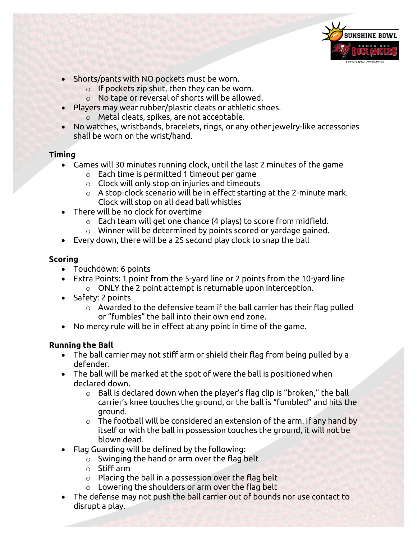

- Shorts/pants with NO pockets must be worn.
	- $\circ$  If pockets zip shut, then they can be worn.
	- o No tape or reversal of shorts will be allowed.
- Players may wear rubber/plastic cleats or athletic shoes.
	- o Metal cleats, spikes, are not acceptable.
- No watches, wristbands, bracelets, rings, or any other jewelry-like accessories shall be worn on the wrist/hand.

#### **Timing**

- Games will 30 minutes running clock, until the last 2 minutes of the game
	- o Each time is permitted 1 timeout per game
	- $\circ$  Clock will only stop on injuries and timeouts
	- $\circ$  A stop-clock scenario will be in effect starting at the 2-minute mark. Clock will stop on all dead ball whistles
- There will be no clock for overtime
	- o Each team will get one chance (4 plays) to score from midfield.
	- o Winner will be determined by points scored or yardage gained.
- Every down, there will be a 25 second play clock to snap the ball

#### **Scoring**

- Touchdown: 6 points
- Extra Points: 1 point from the 5-yard line or 2 points from the 10-yard line o ONLY the 2 point attempt is returnable upon interception.
- Safety: 2 points
	- $\circ$  Awarded to the defensive team if the ball carrier has their flag pulled or "fumbles" the ball into their own end zone.
- No mercy rule will be in effect at any point in time of the game.

#### **Running the Ball**

- The ball carrier may not stiff arm or shield their flag from being pulled by a defender.
- The ball will be marked at the spot of were the ball is positioned when declared down.
	- $\circ$  Ball is declared down when the player's flag clip is "broken," the ball carrier's knee touches the ground, or the ball is "fumbled" and hits the ground.
	- $\circ$  The football will be considered an extension of the arm. If any hand by itself or with the ball in possession touches the ground, it will not be blown dead.
- Flag Guarding will be defined by the following:
	- o Swinging the hand or arm over the flag belt
	- o Stiff arm
	- o Placing the ball in a possession over the flag belt
	- $\circ$  Lowering the shoulders or arm over the flag belt
- The defense may not push the ball carrier out of bounds nor use contact to disrupt a play.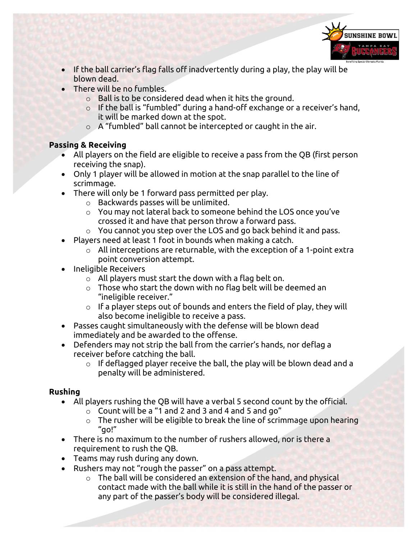

- If the ball carrier's flag falls off inadvertently during a play, the play will be blown dead.
- There will be no fumbles.
	- o Ball is to be considered dead when it hits the ground.
	- o If the ball is "fumbled" during a hand-off exchange or a receiver's hand, it will be marked down at the spot.
	- o A "fumbled" ball cannot be intercepted or caught in the air.

## **Passing & Receiving**

- All players on the field are eligible to receive a pass from the QB (first person receiving the snap).
- Only 1 player will be allowed in motion at the snap parallel to the line of scrimmage.
- There will only be 1 forward pass permitted per play.
	- o Backwards passes will be unlimited.
	- o You may not lateral back to someone behind the LOS once you've crossed it and have that person throw a forward pass.
	- o You cannot you step over the LOS and go back behind it and pass.
- Players need at least 1 foot in bounds when making a catch.
	- $\circ$  All interceptions are returnable, with the exception of a 1-point extra point conversion attempt.
- Ineligible Receivers
	- $\circ$  All players must start the down with a flag belt on.
	- $\circ$  Those who start the down with no flag belt will be deemed an "ineligible receiver."
	- $\circ$  If a player steps out of bounds and enters the field of play, they will also become ineligible to receive a pass.
- Passes caught simultaneously with the defense will be blown dead immediately and be awarded to the offense.
- Defenders may not strip the ball from the carrier's hands, nor deflag a receiver before catching the ball.
	- $\circ$  If deflagged player receive the ball, the play will be blown dead and a penalty will be administered.

## **Rushing**

- All players rushing the QB will have a verbal 5 second count by the official.
	- $\circ$  Count will be a "1 and 2 and 3 and 4 and 5 and go"
	- o The rusher will be eligible to break the line of scrimmage upon hearing "go!"
- There is no maximum to the number of rushers allowed, nor is there a requirement to rush the QB.
- Teams may rush during any down.
- Rushers may not "rough the passer" on a pass attempt.
	- o The ball will be considered an extension of the hand, and physical contact made with the ball while it is still in the hand of the passer or any part of the passer's body will be considered illegal.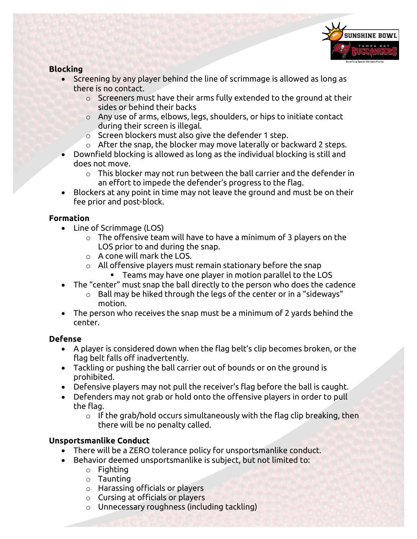

## **Blocking**

- Screening by any player behind the line of scrimmage is allowed as long as there is no contact.
	- o Screeners must have their arms fully extended to the ground at their sides or behind their backs
	- o Any use of arms, elbows, legs, shoulders, or hips to initiate contact during their screen is illegal.
	- o Screen blockers must also give the defender 1 step.
	- $\circ$  After the snap, the blocker may move laterally or backward 2 steps.
- Downfield blocking is allowed as long as the individual blocking is still and does not move.
	- $\circ$  This blocker may not run between the ball carrier and the defender in an effort to impede the defender's progress to the flag.
- Blockers at any point in time may not leave the ground and must be on their fee prior and post-block.

#### **Formation**

- Line of Scrimmage (LOS)
	- $\circ$  The offensive team will have to have a minimum of 3 players on the LOS prior to and during the snap.
	- o A cone will mark the LOS.
	- $\circ$  All offensive players must remain stationary before the snap
		- Teams may have one player in motion parallel to the LOS
- The "center" must snap the ball directly to the person who does the cadence
	- $\circ$  Ball may be hiked through the legs of the center or in a "sideways" motion.
- The person who receives the snap must be a minimum of 2 yards behind the center.

#### **Defense**

- A player is considered down when the flag belt's clip becomes broken, or the flag belt falls off inadvertently.
- Tackling or pushing the ball carrier out of bounds or on the ground is prohibited.
- Defensive players may not pull the receiver's flag before the ball is caught.
- Defenders may not grab or hold onto the offensive players in order to pull the flag.
	- $\circ$  If the grab/hold occurs simultaneously with the flag clip breaking, then there will be no penalty called.

## **Unsportsmanlike Conduct**

- There will be a ZERO tolerance policy for unsportsmanlike conduct.
- Behavior deemed unsportsmanlike is subject, but not limited to:
	- o Fighting
	- o Taunting
	- o Harassing officials or players
	- o Cursing at officials or players
	- o Unnecessary roughness (including tackling)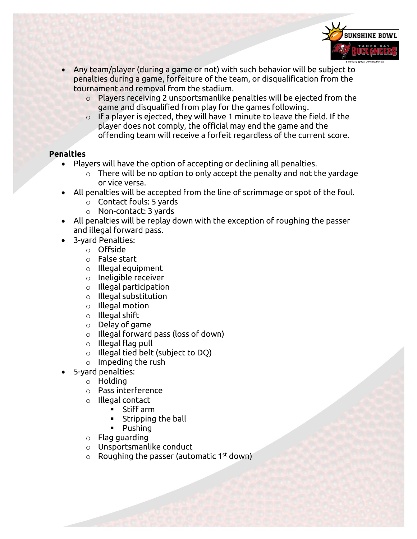

- Any team/player (during a game or not) with such behavior will be subject to penalties during a game, forfeiture of the team, or disqualification from the tournament and removal from the stadium.
	- o Players receiving 2 unsportsmanlike penalties will be ejected from the game and disqualified from play for the games following.
	- $\circ$  If a player is ejected, they will have 1 minute to leave the field. If the player does not comply, the official may end the game and the offending team will receive a forfeit regardless of the current score.

#### **Penalties**

- Players will have the option of accepting or declining all penalties.
	- $\circ$  There will be no option to only accept the penalty and not the yardage or vice versa.
- All penalties will be accepted from the line of scrimmage or spot of the foul.
	- o Contact fouls: 5 yards
	- o Non-contact: 3 yards
- All penalties will be replay down with the exception of roughing the passer and illegal forward pass.
- 3-yard Penalties:
	- o Offside
	- o False start
	- o Illegal equipment
	- o Ineligible receiver
	- o Illegal participation
	- $\circ$  Illegal substitution
	- o Illegal motion
	- o Illegal shift
	- o Delay of game
	- o Illegal forward pass (loss of down)
	- o Illegal flag pull
	- o Illegal tied belt (subject to DQ)
	- o Impeding the rush
- 5-yard penalties:
	- o Holding
	- o Pass interference
	- o Illegal contact
		- Stiff arm
		- Stripping the ball
		- Pushing
	- o Flag guarding
	- o Unsportsmanlike conduct
	- $\circ$  Roughing the passer (automatic 1st down)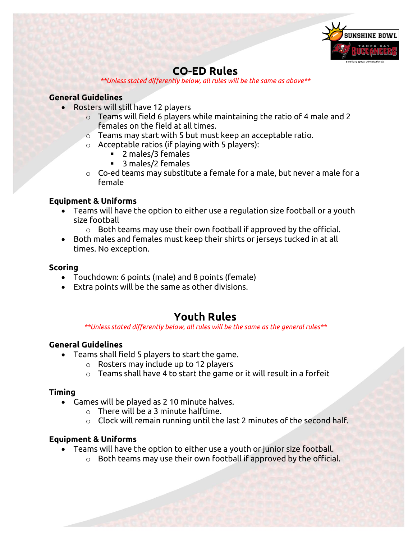

## **CO-ED Rules**

*\*\*Unless stated differently below, all rules will be the same as above\*\**

#### **General Guidelines**

- Rosters will still have 12 players
	- $\circ$  Teams will field 6 players while maintaining the ratio of 4 male and 2 females on the field at all times.
	- o Teams may start with 5 but must keep an acceptable ratio.
	- $\circ$  Acceptable ratios (if playing with 5 players):
		- 2 males/3 females
		- 3 males/2 females
	- $\circ$  Co-ed teams may substitute a female for a male, but never a male for a female

#### **Equipment & Uniforms**

- Teams will have the option to either use a regulation size football or a youth size football
	- $\circ$  Both teams may use their own football if approved by the official.
- Both males and females must keep their shirts or jerseys tucked in at all times. No exception.

#### **Scoring**

- Touchdown: 6 points (male) and 8 points (female)
- Extra points will be the same as other divisions.

## **Youth Rules**

*\*\*Unless stated differently below, all rules will be the same as the general rules\*\**

#### **General Guidelines**

- Teams shall field 5 players to start the game.
	- o Rosters may include up to 12 players
	- $\circ$  Teams shall have 4 to start the game or it will result in a forfeit

#### **Timing**

- Games will be played as 2 10 minute halves.
	- o There will be a 3 minute halftime.
	- $\circ$  Clock will remain running until the last 2 minutes of the second half.

#### **Equipment & Uniforms**

- Teams will have the option to either use a youth or junior size football.
	- o Both teams may use their own football if approved by the official.